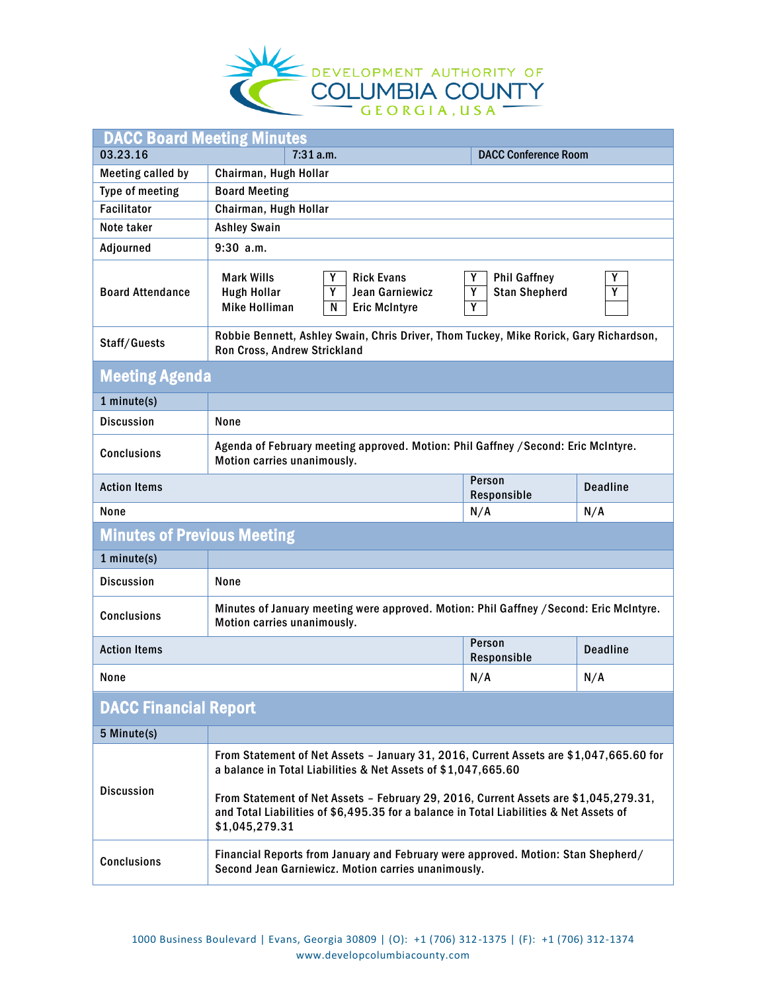

| <b>DACC Board Meeting Minutes</b>  |                                                                                                                                                                                                  |                                                            |     |  |
|------------------------------------|--------------------------------------------------------------------------------------------------------------------------------------------------------------------------------------------------|------------------------------------------------------------|-----|--|
| 03.23.16                           | 7:31 a.m.<br><b>DACC Conference Room</b>                                                                                                                                                         |                                                            |     |  |
| <b>Meeting called by</b>           | Chairman, Hugh Hollar                                                                                                                                                                            |                                                            |     |  |
| Type of meeting                    | <b>Board Meeting</b>                                                                                                                                                                             |                                                            |     |  |
| <b>Facilitator</b>                 | Chairman, Hugh Hollar                                                                                                                                                                            |                                                            |     |  |
| Note taker                         | <b>Ashley Swain</b>                                                                                                                                                                              |                                                            |     |  |
| Adjourned                          | $9:30$ a.m.                                                                                                                                                                                      |                                                            |     |  |
| <b>Board Attendance</b>            | <b>Mark Wills</b><br>Υ<br><b>Rick Evans</b><br>Y<br><b>Hugh Hollar</b><br>Jean Garniewicz<br><b>Mike Holliman</b><br>N<br><b>Eric McIntyre</b>                                                   | Y<br><b>Phil Gaffney</b><br>Y<br><b>Stan Shepherd</b><br>γ | Y   |  |
| Staff/Guests                       | Robbie Bennett, Ashley Swain, Chris Driver, Thom Tuckey, Mike Rorick, Gary Richardson,<br>Ron Cross, Andrew Strickland                                                                           |                                                            |     |  |
| <b>Meeting Agenda</b>              |                                                                                                                                                                                                  |                                                            |     |  |
| 1 minute(s)                        |                                                                                                                                                                                                  |                                                            |     |  |
| <b>Discussion</b>                  | None                                                                                                                                                                                             |                                                            |     |  |
| <b>Conclusions</b>                 | Agenda of February meeting approved. Motion: Phil Gaffney / Second: Eric McIntyre.<br>Motion carries unanimously.                                                                                |                                                            |     |  |
| <b>Action Items</b>                | Person<br><b>Deadline</b><br>Responsible                                                                                                                                                         |                                                            |     |  |
| <b>None</b>                        | N/A<br>N/A                                                                                                                                                                                       |                                                            |     |  |
| <b>Minutes of Previous Meeting</b> |                                                                                                                                                                                                  |                                                            |     |  |
| 1 minute(s)                        |                                                                                                                                                                                                  |                                                            |     |  |
| <b>Discussion</b>                  | None                                                                                                                                                                                             |                                                            |     |  |
| <b>Conclusions</b>                 | Minutes of January meeting were approved. Motion: Phil Gaffney / Second: Eric McIntyre.<br>Motion carries unanimously.                                                                           |                                                            |     |  |
| <b>Action Items</b>                | Person<br><b>Deadline</b><br>Responsible                                                                                                                                                         |                                                            |     |  |
| None                               |                                                                                                                                                                                                  | N/A                                                        | N/A |  |
| <b>DACC Financial Report</b>       |                                                                                                                                                                                                  |                                                            |     |  |
| 5 Minute(s)                        |                                                                                                                                                                                                  |                                                            |     |  |
|                                    | From Statement of Net Assets - January 31, 2016, Current Assets are \$1,047,665.60 for<br>a balance in Total Liabilities & Net Assets of \$1,047,665.60                                          |                                                            |     |  |
| <b>Discussion</b>                  | From Statement of Net Assets - February 29, 2016, Current Assets are \$1,045,279.31,<br>and Total Liabilities of \$6,495.35 for a balance in Total Liabilities & Net Assets of<br>\$1,045,279.31 |                                                            |     |  |
| <b>Conclusions</b>                 | Financial Reports from January and February were approved. Motion: Stan Shepherd/<br>Second Jean Garniewicz. Motion carries unanimously.                                                         |                                                            |     |  |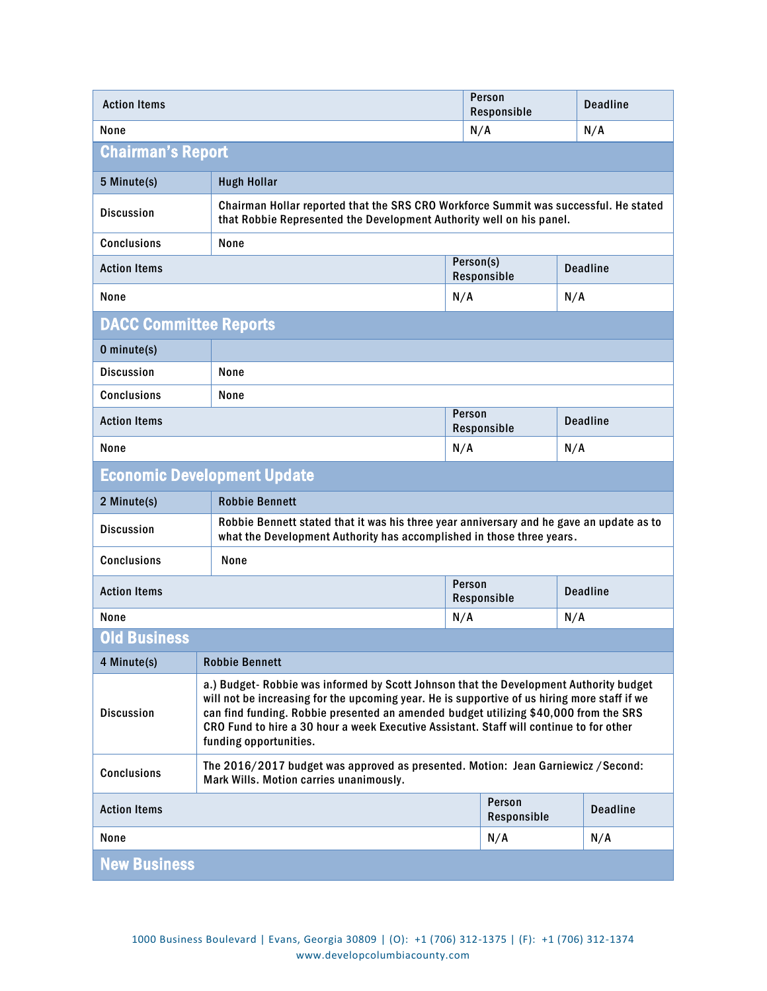| <b>Action Items</b>                                             | Person<br><b>Deadline</b><br>Responsible                                                                                                                                                                                                                                                                                                                                                            |                                          |             |     |                 |
|-----------------------------------------------------------------|-----------------------------------------------------------------------------------------------------------------------------------------------------------------------------------------------------------------------------------------------------------------------------------------------------------------------------------------------------------------------------------------------------|------------------------------------------|-------------|-----|-----------------|
| None                                                            | N/A                                                                                                                                                                                                                                                                                                                                                                                                 |                                          |             |     | N/A             |
| <b>Chairman's Report</b>                                        |                                                                                                                                                                                                                                                                                                                                                                                                     |                                          |             |     |                 |
| 5 Minute(s)                                                     | <b>Hugh Hollar</b>                                                                                                                                                                                                                                                                                                                                                                                  |                                          |             |     |                 |
| <b>Discussion</b>                                               | Chairman Hollar reported that the SRS CRO Workforce Summit was successful. He stated<br>that Robbie Represented the Development Authority well on his panel.                                                                                                                                                                                                                                        |                                          |             |     |                 |
| <b>Conclusions</b>                                              | None                                                                                                                                                                                                                                                                                                                                                                                                |                                          |             |     |                 |
| <b>Action Items</b>                                             |                                                                                                                                                                                                                                                                                                                                                                                                     | Person(s)                                | Responsible |     | <b>Deadline</b> |
| None                                                            |                                                                                                                                                                                                                                                                                                                                                                                                     | N/A                                      |             | N/A |                 |
| <b>DACC Committee Reports</b>                                   |                                                                                                                                                                                                                                                                                                                                                                                                     |                                          |             |     |                 |
| 0 minute(s)                                                     |                                                                                                                                                                                                                                                                                                                                                                                                     |                                          |             |     |                 |
| <b>Discussion</b>                                               | None                                                                                                                                                                                                                                                                                                                                                                                                |                                          |             |     |                 |
| <b>Conclusions</b>                                              | None                                                                                                                                                                                                                                                                                                                                                                                                |                                          |             |     |                 |
| Person<br><b>Action Items</b><br><b>Deadline</b><br>Responsible |                                                                                                                                                                                                                                                                                                                                                                                                     |                                          |             |     |                 |
| None                                                            |                                                                                                                                                                                                                                                                                                                                                                                                     | N/A                                      |             | N/A |                 |
|                                                                 | <b>Economic Development Update</b>                                                                                                                                                                                                                                                                                                                                                                  |                                          |             |     |                 |
| 2 Minute(s)                                                     | <b>Robbie Bennett</b>                                                                                                                                                                                                                                                                                                                                                                               |                                          |             |     |                 |
| <b>Discussion</b>                                               | Robbie Bennett stated that it was his three year anniversary and he gave an update as to<br>what the Development Authority has accomplished in those three years.                                                                                                                                                                                                                                   |                                          |             |     |                 |
| <b>Conclusions</b>                                              | None                                                                                                                                                                                                                                                                                                                                                                                                |                                          |             |     |                 |
| <b>Action Items</b>                                             | Person<br><b>Deadline</b><br>Responsible                                                                                                                                                                                                                                                                                                                                                            |                                          |             |     |                 |
| None                                                            |                                                                                                                                                                                                                                                                                                                                                                                                     | N/A                                      |             | N/A |                 |
| <b>Old Business</b>                                             |                                                                                                                                                                                                                                                                                                                                                                                                     |                                          |             |     |                 |
| 4 Minute(s)                                                     | <b>Robbie Bennett</b>                                                                                                                                                                                                                                                                                                                                                                               |                                          |             |     |                 |
| <b>Discussion</b>                                               | a.) Budget- Robbie was informed by Scott Johnson that the Development Authority budget<br>will not be increasing for the upcoming year. He is supportive of us hiring more staff if we<br>can find funding. Robbie presented an amended budget utilizing \$40,000 from the SRS<br>CRO Fund to hire a 30 hour a week Executive Assistant. Staff will continue to for other<br>funding opportunities. |                                          |             |     |                 |
| <b>Conclusions</b>                                              | The 2016/2017 budget was approved as presented. Motion: Jean Garniewicz / Second:<br>Mark Wills. Motion carries unanimously.                                                                                                                                                                                                                                                                        |                                          |             |     |                 |
| <b>Action Items</b>                                             |                                                                                                                                                                                                                                                                                                                                                                                                     | Person<br><b>Deadline</b><br>Responsible |             |     |                 |
| None                                                            |                                                                                                                                                                                                                                                                                                                                                                                                     |                                          | N/A         |     | N/A             |
| <b>New Business</b>                                             |                                                                                                                                                                                                                                                                                                                                                                                                     |                                          |             |     |                 |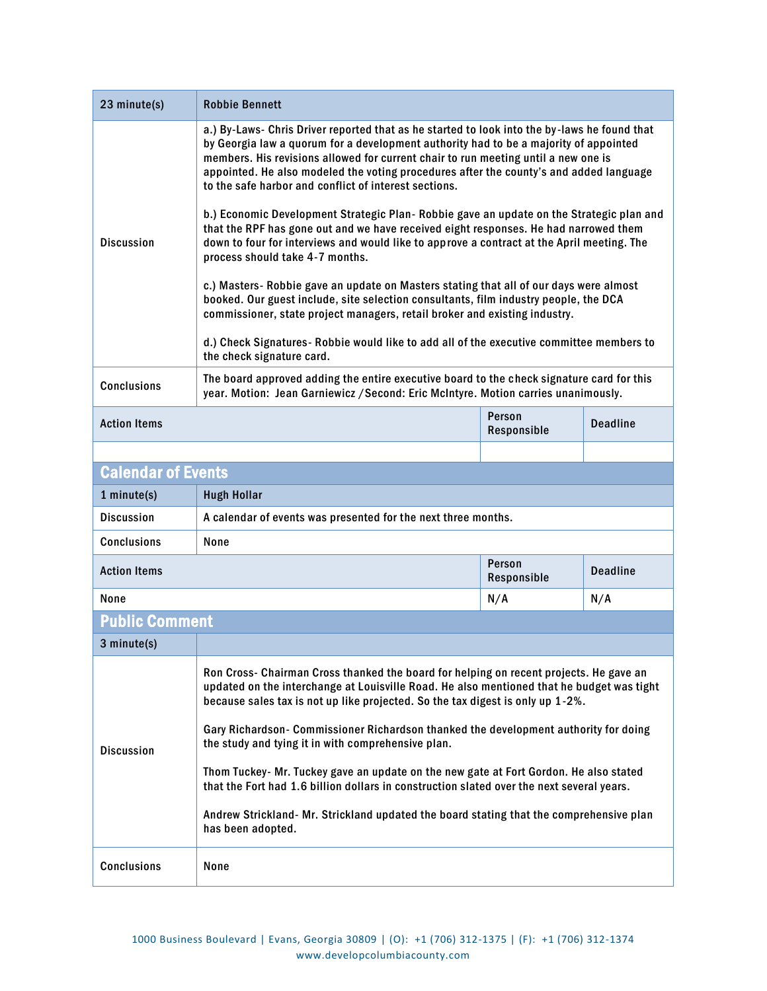| 23 minute(s)                                 | <b>Robbie Bennett</b>                                                                                                                                                                                                                                                                                                                                                                                                          |                       |                 |  |
|----------------------------------------------|--------------------------------------------------------------------------------------------------------------------------------------------------------------------------------------------------------------------------------------------------------------------------------------------------------------------------------------------------------------------------------------------------------------------------------|-----------------------|-----------------|--|
|                                              | a.) By-Laws- Chris Driver reported that as he started to look into the by-laws he found that<br>by Georgia law a quorum for a development authority had to be a majority of appointed<br>members. His revisions allowed for current chair to run meeting until a new one is<br>appointed. He also modeled the voting procedures after the county's and added language<br>to the safe harbor and conflict of interest sections. |                       |                 |  |
| <b>Discussion</b>                            | b.) Economic Development Strategic Plan-Robbie gave an update on the Strategic plan and<br>that the RPF has gone out and we have received eight responses. He had narrowed them<br>down to four for interviews and would like to approve a contract at the April meeting. The<br>process should take 4-7 months.                                                                                                               |                       |                 |  |
|                                              | c.) Masters- Robbie gave an update on Masters stating that all of our days were almost<br>booked. Our guest include, site selection consultants, film industry people, the DCA<br>commissioner, state project managers, retail broker and existing industry.                                                                                                                                                                   |                       |                 |  |
|                                              | d.) Check Signatures- Robbie would like to add all of the executive committee members to<br>the check signature card.                                                                                                                                                                                                                                                                                                          |                       |                 |  |
| <b>Conclusions</b>                           | The board approved adding the entire executive board to the check signature card for this<br>year. Motion: Jean Garniewicz / Second: Eric McIntyre. Motion carries unanimously.                                                                                                                                                                                                                                                |                       |                 |  |
| <b>Action Items</b>                          |                                                                                                                                                                                                                                                                                                                                                                                                                                | Person<br>Responsible | <b>Deadline</b> |  |
|                                              |                                                                                                                                                                                                                                                                                                                                                                                                                                |                       |                 |  |
| <b>Calendar of Events</b>                    |                                                                                                                                                                                                                                                                                                                                                                                                                                |                       |                 |  |
| $1$ minute $(s)$                             | <b>Hugh Hollar</b>                                                                                                                                                                                                                                                                                                                                                                                                             |                       |                 |  |
| <b>Discussion</b>                            | A calendar of events was presented for the next three months.                                                                                                                                                                                                                                                                                                                                                                  |                       |                 |  |
| <b>Conclusions</b>                           | None                                                                                                                                                                                                                                                                                                                                                                                                                           |                       |                 |  |
| Person<br><b>Action Items</b><br>Responsible |                                                                                                                                                                                                                                                                                                                                                                                                                                |                       | <b>Deadline</b> |  |
| None                                         |                                                                                                                                                                                                                                                                                                                                                                                                                                | N/A                   | N/A             |  |
| <b>Public Comment</b>                        |                                                                                                                                                                                                                                                                                                                                                                                                                                |                       |                 |  |
| 3 minute(s)                                  |                                                                                                                                                                                                                                                                                                                                                                                                                                |                       |                 |  |
|                                              | Ron Cross- Chairman Cross thanked the board for helping on recent projects. He gave an<br>updated on the interchange at Louisville Road. He also mentioned that he budget was tight<br>because sales tax is not up like projected. So the tax digest is only up 1-2%.                                                                                                                                                          |                       |                 |  |
| <b>Discussion</b>                            | Gary Richardson- Commissioner Richardson thanked the development authority for doing<br>the study and tying it in with comprehensive plan.                                                                                                                                                                                                                                                                                     |                       |                 |  |
|                                              | Thom Tuckey- Mr. Tuckey gave an update on the new gate at Fort Gordon. He also stated<br>that the Fort had 1.6 billion dollars in construction slated over the next several years.                                                                                                                                                                                                                                             |                       |                 |  |
|                                              | Andrew Strickland- Mr. Strickland updated the board stating that the comprehensive plan<br>has been adopted.                                                                                                                                                                                                                                                                                                                   |                       |                 |  |
| <b>Conclusions</b>                           | None                                                                                                                                                                                                                                                                                                                                                                                                                           |                       |                 |  |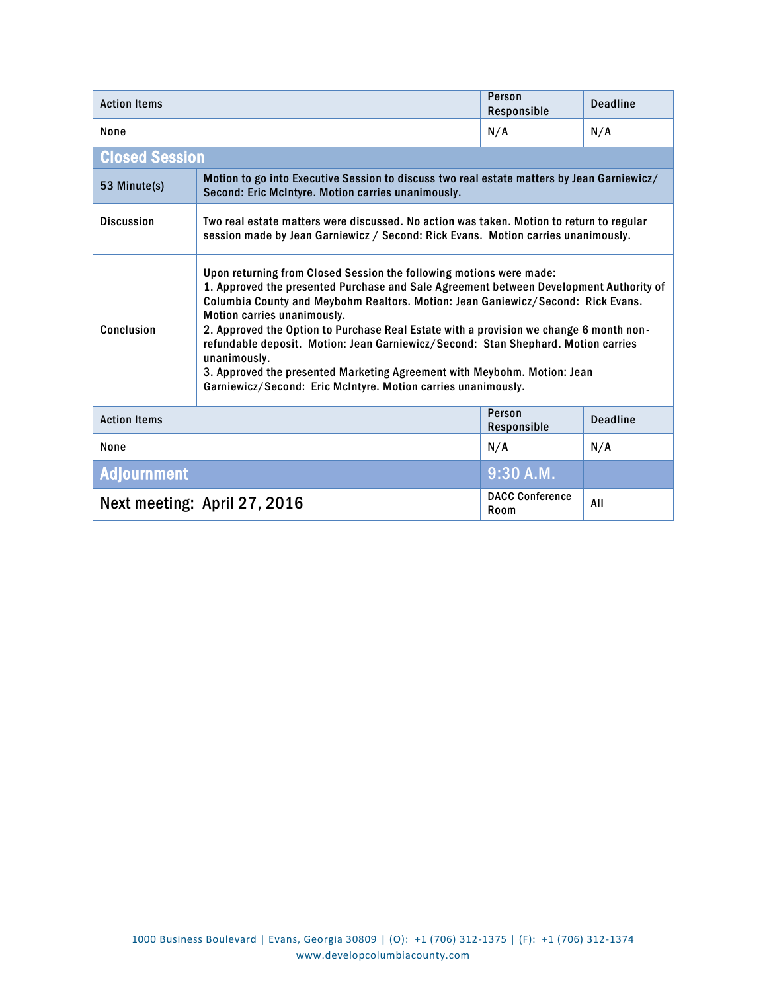| <b>Action Items</b>               |                                                                                                                                                                                                                                                                                                                                                                                                                                                                                                                                                                                                                              | Person<br>Responsible          | <b>Deadline</b> |
|-----------------------------------|------------------------------------------------------------------------------------------------------------------------------------------------------------------------------------------------------------------------------------------------------------------------------------------------------------------------------------------------------------------------------------------------------------------------------------------------------------------------------------------------------------------------------------------------------------------------------------------------------------------------------|--------------------------------|-----------------|
| None                              |                                                                                                                                                                                                                                                                                                                                                                                                                                                                                                                                                                                                                              | N/A                            | N/A             |
| <b>Closed Session</b>             |                                                                                                                                                                                                                                                                                                                                                                                                                                                                                                                                                                                                                              |                                |                 |
| 53 Minute(s)                      | Motion to go into Executive Session to discuss two real estate matters by Jean Garniewicz/<br>Second: Eric McIntyre. Motion carries unanimously.                                                                                                                                                                                                                                                                                                                                                                                                                                                                             |                                |                 |
| <b>Discussion</b>                 | Two real estate matters were discussed. No action was taken. Motion to return to regular<br>session made by Jean Garniewicz / Second: Rick Evans. Motion carries unanimously.                                                                                                                                                                                                                                                                                                                                                                                                                                                |                                |                 |
| Conclusion                        | Upon returning from Closed Session the following motions were made:<br>1. Approved the presented Purchase and Sale Agreement between Development Authority of<br>Columbia County and Meybohm Realtors. Motion: Jean Ganiewicz/Second: Rick Evans.<br>Motion carries unanimously.<br>2. Approved the Option to Purchase Real Estate with a provision we change 6 month non-<br>refundable deposit. Motion: Jean Garniewicz/Second: Stan Shephard. Motion carries<br>unanimously.<br>3. Approved the presented Marketing Agreement with Meybohm. Motion: Jean<br>Garniewicz/Second: Eric McIntyre. Motion carries unanimously. |                                |                 |
| <b>Action Items</b>               |                                                                                                                                                                                                                                                                                                                                                                                                                                                                                                                                                                                                                              | Person<br>Responsible          | <b>Deadline</b> |
| None                              |                                                                                                                                                                                                                                                                                                                                                                                                                                                                                                                                                                                                                              | N/A                            | N/A             |
| $9:30$ A.M.<br><b>Adjournment</b> |                                                                                                                                                                                                                                                                                                                                                                                                                                                                                                                                                                                                                              |                                |                 |
| Next meeting: April 27, 2016      |                                                                                                                                                                                                                                                                                                                                                                                                                                                                                                                                                                                                                              | <b>DACC Conference</b><br>Room | All             |